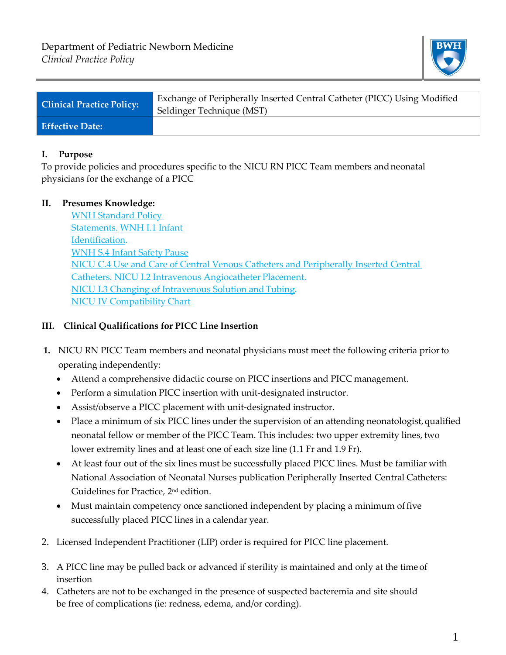

| <b>Clinical Practice Policy:</b> | Exchange of Peripherally Inserted Central Catheter (PICC) Using Modified<br>Seldinger Technique (MST) |
|----------------------------------|-------------------------------------------------------------------------------------------------------|
| <b>Effective Date:</b>           |                                                                                                       |

### **I. Purpose**

To provide policies and procedures specific to the NICU RN PICC Team members andneonatal physicians for the exchange of a PICC

# **II. Presumes Knowledge:**

[WNH Standard Policy](http://www.bwhpikenotes.org/policies/Administration_MedicalStaffManual/documents/1.4.10.doc) [Statements.](http://www.bwhpikenotes.org/policies/Administration_MedicalStaffManual/documents/1.4.10.doc) [WNH I.1 Infant](http://www.bwhpikenotes.org/policies/Nursing/CWN_Clinical_Practice_Manual/WNH/WNH_I.1.pdf) [Identification.](http://www.bwhpikenotes.org/policies/Nursing/CWN_Clinical_Practice_Manual/WNH/WNH_I.1.pdf) [WNH S.4 Infant Safety](https://hospitalpolicies.ellucid.com/documents/view/3312/3396/) Pause [NICU C.4 Use and Care of Central Venous Catheters and Peripherally Inserted Central](http://www.bwhpikenotes.org/policies/departments/NICU/documents/Policies/NICU_C_4CentralVenousCatheterGuidelines.doc) [Catheters.](http://www.bwhpikenotes.org/policies/departments/NICU/documents/Policies/NICU_C_4CentralVenousCatheterGuidelines.doc) [NICU I.2 Intravenous Angiocatheter](http://www.bwhpikenotes.org/policies/departments/NICU/documents/Policies/NICU_I_2IntravenousAngiocatheterPlacement.doc) Placement. NICU I.3 Changing of Intravenous Solution and Tubing. [NICU IV Compatibility](http://www.bwhpikenotes.org/policies/departments/NICU/drug_admin/documents/iv%20compatibility%20chart%20for%20nicu.xls) Chart

## **III. Clinical Qualifications for PICC Line Insertion**

- **1.** NICU RN PICC Team members and neonatal physicians must meet the following criteria priorto operating independently:
	- Attend a comprehensive didactic course on PICC insertions and PICC management.
	- Perform a simulation PICC insertion with unit-designated instructor.
	- Assist/observe a PICC placement with unit-designated instructor.
	- Place a minimum of six PICC lines under the supervision of an attending neonatologist,qualified neonatal fellow or member of the PICC Team. This includes: two upper extremity lines, two lower extremity lines and at least one of each size line (1.1 Fr and 1.9 Fr).
	- At least four out of the six lines must be successfully placed PICC lines. Must be familiar with National Association of Neonatal Nurses publication Peripherally Inserted Central Catheters: Guidelines for Practice, 2nd edition.
	- Must maintain competency once sanctioned independent by placing a minimum of five successfully placed PICC lines in a calendar year.
- 2. Licensed Independent Practitioner (LIP) order is required for PICC line placement.
- 3. A PICC line may be pulled back or advanced if sterility is maintained and only at the time of insertion
- 4. Catheters are not to be exchanged in the presence of suspected bacteremia and site should be free of complications (ie: redness, edema, and/or cording).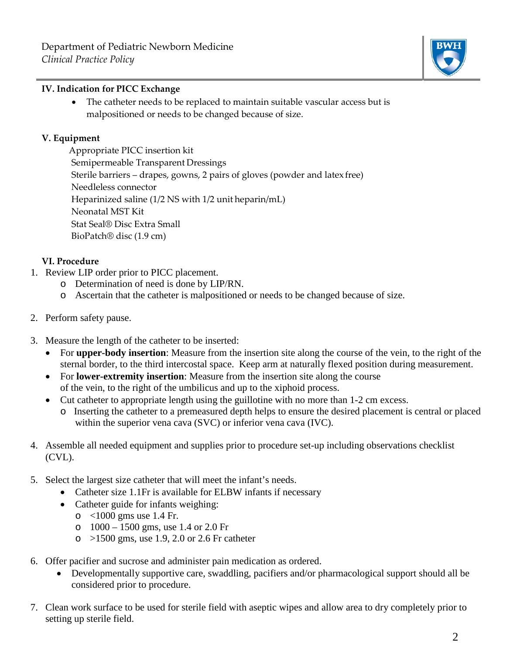

#### **IV. Indication for PICC Exchange**

• The catheter needs to be replaced to maintain suitable vascular access but is malpositioned or needs to be changed because of size.

#### **V. Equipment**

Appropriate PICC insertion kit Semipermeable Transparent Dressings Sterile barriers – drapes, gowns, 2 pairs of gloves (powder and latex free) Needleless connector Heparinized saline (1/2 NS with 1/2 unit heparin/mL) Neonatal MST Kit Stat Seal® Disc Extra Small BioPatch® disc (1.9 cm)

### **VI. Procedure**

- 1. Review LIP order prior to PICC placement.
	- o Determination of need is done by LIP/RN.
	- o Ascertain that the catheter is malpositioned or needs to be changed because of size.
- 2. Perform safety pause.
- 3. Measure the length of the catheter to be inserted:
	- For **upper-body insertion**: Measure from the insertion site along the course of the vein, to the right of the sternal border, to the third intercostal space. Keep arm at naturally flexed position during measurement.
	- For **lower-extremity insertion**: Measure from the insertion site along the course of the vein, to the right of the umbilicus and up to the xiphoid process.
	- Cut catheter to appropriate length using the guillotine with no more than 1-2 cm excess.
		- o Inserting the catheter to a premeasured depth helps to ensure the desired placement is central or placed within the superior vena cava (SVC) or inferior vena cava (IVC).
- 4. Assemble all needed equipment and supplies prior to procedure set-up including observations checklist (CVL).
- 5. Select the largest size catheter that will meet the infant's needs.
	- Catheter size 1.1Fr is available for ELBW infants if necessary
	- Catheter guide for infants weighing:
		- o <1000 gms use 1.4 Fr.
		- o 1000 1500 gms, use 1.4 or 2.0 Fr
		- $\circ$  >1500 gms, use 1.9, 2.0 or 2.6 Fr catheter
- 6. Offer pacifier and sucrose and administer pain medication as ordered.
	- Developmentally supportive care, swaddling, pacifiers and/or pharmacological support should all be considered prior to procedure.
- 7. Clean work surface to be used for sterile field with aseptic wipes and allow area to dry completely prior to setting up sterile field.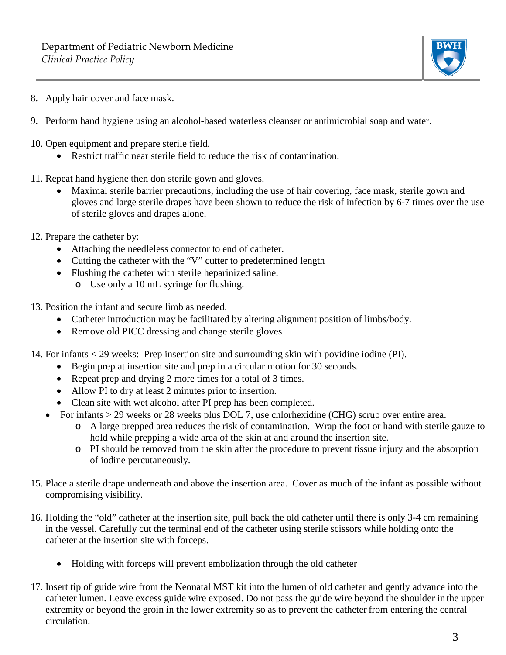

- 8. Apply hair cover and face mask.
- 9. Perform hand hygiene using an alcohol-based waterless cleanser or antimicrobial soap and water.
- 10. Open equipment and prepare sterile field.
	- Restrict traffic near sterile field to reduce the risk of contamination.
- 11. Repeat hand hygiene then don sterile gown and gloves.
	- Maximal sterile barrier precautions, including the use of hair covering, face mask, sterile gown and gloves and large sterile drapes have been shown to reduce the risk of infection by 6-7 times over the use of sterile gloves and drapes alone.
- 12. Prepare the catheter by:
	- Attaching the needleless connector to end of catheter.
	- Cutting the catheter with the "V" cutter to predetermined length
	- Flushing the catheter with sterile heparinized saline.
		- o Use only a 10 mL syringe for flushing.
- 13. Position the infant and secure limb as needed.
	- Catheter introduction may be facilitated by altering alignment position of limbs/body.
	- Remove old PICC dressing and change sterile gloves
- 14. For infants < 29 weeks: Prep insertion site and surrounding skin with povidine iodine (PI).
	- Begin prep at insertion site and prep in a circular motion for 30 seconds.
	- Repeat prep and drying 2 more times for a total of 3 times.
	- Allow PI to dry at least 2 minutes prior to insertion.
	- Clean site with wet alcohol after PI prep has been completed.
	- For infants > 29 weeks or 28 weeks plus DOL 7, use chlorhexidine (CHG) scrub over entire area.
		- o A large prepped area reduces the risk of contamination. Wrap the foot or hand with sterile gauze to hold while prepping a wide area of the skin at and around the insertion site.
		- o PI should be removed from the skin after the procedure to prevent tissue injury and the absorption of iodine percutaneously.
- 15. Place a sterile drape underneath and above the insertion area. Cover as much of the infant as possible without compromising visibility.
- 16. Holding the "old" catheter at the insertion site, pull back the old catheter until there is only 3-4 cm remaining in the vessel. Carefully cut the terminal end of the catheter using sterile scissors while holding onto the catheter at the insertion site with forceps.
	- Holding with forceps will prevent embolization through the old catheter
- 17. Insert tip of guide wire from the Neonatal MST kit into the lumen of old catheter and gently advance into the catheter lumen. Leave excess guide wire exposed. Do not pass the guide wire beyond the shoulder in the upper extremity or beyond the groin in the lower extremity so as to prevent the catheter from entering the central circulation.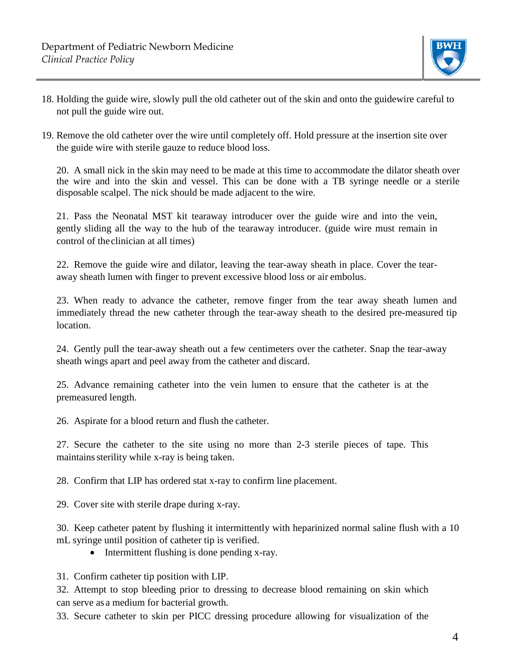

- 18. Holding the guide wire, slowly pull the old catheter out of the skin and onto the guidewire careful to not pull the guide wire out.
- 19. Remove the old catheter over the wire until completely off. Hold pressure at the insertion site over the guide wire with sterile gauze to reduce blood loss.

20. A small nick in the skin may need to be made at this time to accommodate the dilator sheath over the wire and into the skin and vessel. This can be done with a TB syringe needle or a sterile disposable scalpel. The nick should be made adjacent to the wire.

21. Pass the Neonatal MST kit tearaway introducer over the guide wire and into the vein, gently sliding all the way to the hub of the tearaway introducer. (guide wire must remain in control of theclinician at all times)

22. Remove the guide wire and dilator, leaving the tear-away sheath in place. Cover the tearaway sheath lumen with finger to prevent excessive blood loss or air embolus.

23. When ready to advance the catheter, remove finger from the tear away sheath lumen and immediately thread the new catheter through the tear-away sheath to the desired pre-measured tip location.

24. Gently pull the tear-away sheath out a few centimeters over the catheter. Snap the tear-away sheath wings apart and peel away from the catheter and discard.

25. Advance remaining catheter into the vein lumen to ensure that the catheter is at the premeasured length.

26. Aspirate for a blood return and flush the catheter.

27. Secure the catheter to the site using no more than 2-3 sterile pieces of tape. This maintainssterility while x-ray is being taken.

28. Confirm that LIP has ordered stat x-ray to confirm line placement.

29. Cover site with sterile drape during x-ray.

30. Keep catheter patent by flushing it intermittently with heparinized normal saline flush with a 10 mL syringe until position of catheter tip is verified.

• Intermittent flushing is done pending x-ray.

31. Confirm catheter tip position with LIP.

32. Attempt to stop bleeding prior to dressing to decrease blood remaining on skin which can serve as a medium for bacterial growth.

33. Secure catheter to skin per PICC dressing procedure allowing for visualization of the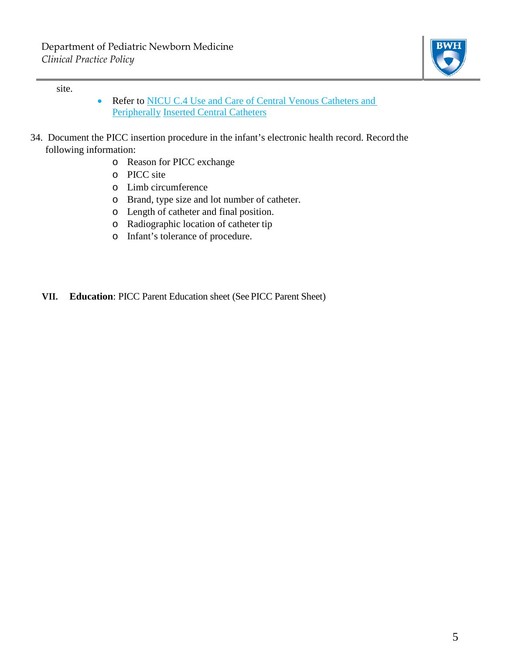

site.

- Refer to **NICU C.4 Use and Care of Central Venous Catheters and** [Peripherally](http://www.bwhpikenotes.org/policies/departments/NICU/documents/Policies/NICU_C_4CentralVenousCatheterGuidelines.doc) [Inserted Central Catheters](http://www.bwhpikenotes.org/policies/departments/NICU/documents/Policies/NICU_C_4CentralVenousCatheterGuidelines.doc)
- 34. Document the PICC insertion procedure in the infant's electronic health record. Record the following information:
	- o Reason for PICC exchange
	- o PICC site
	- o Limb circumference
	- o Brand, type size and lot number of catheter.
	- o Length of catheter and final position.
	- o Radiographic location of catheter tip
	- o Infant's tolerance of procedure.
	- **VII. Education**: PICC Parent Education sheet (See PICC Parent Sheet)